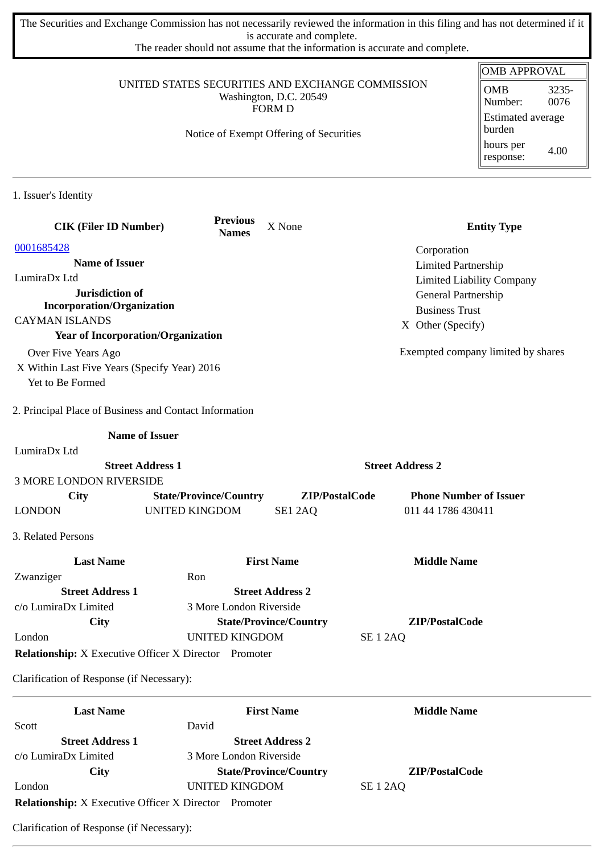The Securities and Exchange Commission has not necessarily reviewed the information in this filing and has not determined if it is accurate and complete.

The reader should not assume that the information is accurate and complete.

## UNITED STATES SECURITIES AND EXCHANGE COMMISSION Washington, D.C. 20549 FORM D

Notice of Exempt Offering of Securities

| <b>OMB APPROVAL</b>                |               |  |  |
|------------------------------------|---------------|--|--|
| <b>OMB</b><br>Number:              | 3235-<br>0076 |  |  |
| <b>Estimated average</b><br>burden |               |  |  |
| hours per<br>response:             | 4.00          |  |  |

1. Issuer's Identity

| <b>CIK (Filer ID Number)</b>                                 | <b>Previous</b><br><b>Names</b> | X None                        | <b>Entity Type</b>                 |
|--------------------------------------------------------------|---------------------------------|-------------------------------|------------------------------------|
| 0001685428                                                   |                                 |                               | Corporation                        |
| <b>Name of Issuer</b>                                        |                                 |                               | <b>Limited Partnership</b>         |
| LumiraDx Ltd                                                 |                                 |                               | <b>Limited Liability Company</b>   |
| Jurisdiction of                                              |                                 |                               | General Partnership                |
| <b>Incorporation/Organization</b>                            |                                 |                               | <b>Business Trust</b>              |
| <b>CAYMAN ISLANDS</b>                                        |                                 |                               | X Other (Specify)                  |
| <b>Year of Incorporation/Organization</b>                    |                                 |                               |                                    |
| Over Five Years Ago                                          |                                 |                               | Exempted company limited by shares |
| X Within Last Five Years (Specify Year) 2016                 |                                 |                               |                                    |
| Yet to Be Formed                                             |                                 |                               |                                    |
| 2. Principal Place of Business and Contact Information       |                                 |                               |                                    |
|                                                              | <b>Name of Issuer</b>           |                               |                                    |
| LumiraDx Ltd                                                 |                                 |                               |                                    |
|                                                              | <b>Street Address 1</b>         |                               | <b>Street Address 2</b>            |
| <b>3 MORE LONDON RIVERSIDE</b>                               |                                 |                               |                                    |
| City                                                         | <b>State/Province/Country</b>   | ZIP/PostalCode                | <b>Phone Number of Issuer</b>      |
| <b>LONDON</b>                                                | <b>UNITED KINGDOM</b>           | SE1 2AQ                       | 011 44 1786 430411                 |
| 3. Related Persons                                           |                                 |                               |                                    |
| <b>Last Name</b>                                             |                                 | <b>First Name</b>             | <b>Middle Name</b>                 |
| Zwanziger                                                    | Ron                             |                               |                                    |
| <b>Street Address 1</b>                                      |                                 | <b>Street Address 2</b>       |                                    |
| c/o LumiraDx Limited                                         | 3 More London Riverside         |                               |                                    |
| City                                                         |                                 | <b>State/Province/Country</b> | ZIP/PostalCode                     |
| London                                                       | <b>UNITED KINGDOM</b>           | <b>SE 1 2AQ</b>               |                                    |
| <b>Relationship:</b> X Executive Officer X Director Promoter |                                 |                               |                                    |
| Clarification of Response (if Necessary):                    |                                 |                               |                                    |
| <b>Last Name</b>                                             |                                 | <b>First Name</b>             | <b>Middle Name</b>                 |
| Scott                                                        | David                           |                               |                                    |

| ULULL                                               | 1.1111                        |                |
|-----------------------------------------------------|-------------------------------|----------------|
| <b>Street Address 1</b>                             | <b>Street Address 2</b>       |                |
| c/o LumiraDx Limited                                | 3 More London Riverside       |                |
| City                                                | <b>State/Province/Country</b> | ZIP/PostalCode |
| London                                              | UNITED KINGDOM                | SE 1 2AQ       |
| <b>Relationship:</b> X Executive Officer X Director | Promoter                      |                |

Clarification of Response (if Necessary):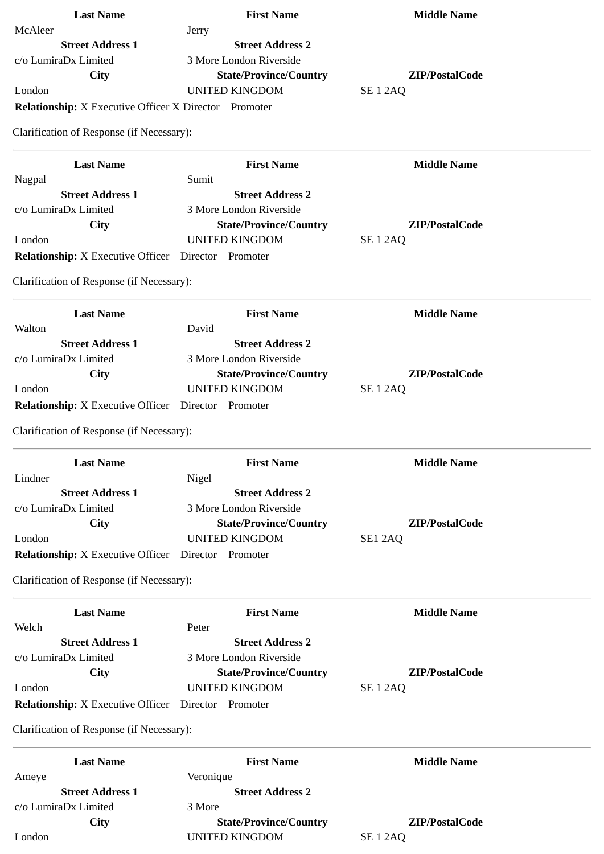| <b>Last Name</b>                                             | <b>First Name</b>             | <b>Middle Name</b> |
|--------------------------------------------------------------|-------------------------------|--------------------|
| McAleer                                                      | Jerry                         |                    |
| <b>Street Address 1</b>                                      | <b>Street Address 2</b>       |                    |
| c/o LumiraDx Limited                                         | 3 More London Riverside       |                    |
| <b>City</b>                                                  | <b>State/Province/Country</b> | ZIP/PostalCode     |
| London                                                       | <b>UNITED KINGDOM</b>         | <b>SE 1 2AQ</b>    |
| <b>Relationship:</b> X Executive Officer X Director Promoter |                               |                    |
| Clarification of Response (if Necessary):                    |                               |                    |
| <b>Last Name</b>                                             | <b>First Name</b>             | <b>Middle Name</b> |
| Nagpal                                                       | Sumit                         |                    |
| <b>Street Address 1</b>                                      | <b>Street Address 2</b>       |                    |
| c/o LumiraDx Limited                                         | 3 More London Riverside       |                    |
| City                                                         | <b>State/Province/Country</b> | ZIP/PostalCode     |
| London                                                       | <b>UNITED KINGDOM</b>         | <b>SE 1 2AQ</b>    |
| Relationship: X Executive Officer Director Promoter          |                               |                    |
| Clarification of Response (if Necessary):                    |                               |                    |
| <b>Last Name</b>                                             | <b>First Name</b>             | <b>Middle Name</b> |
| Walton                                                       | David                         |                    |
| <b>Street Address 1</b>                                      | <b>Street Address 2</b>       |                    |
| c/o LumiraDx Limited                                         | 3 More London Riverside       |                    |
| <b>City</b>                                                  | <b>State/Province/Country</b> | ZIP/PostalCode     |
| London                                                       | <b>UNITED KINGDOM</b>         | <b>SE 1 2AQ</b>    |
| <b>Relationship:</b> X Executive Officer                     | Director Promoter             |                    |
| Clarification of Response (if Necessary):                    |                               |                    |
| <b>Last Name</b>                                             | <b>First Name</b>             | <b>Middle Name</b> |
| Lindner                                                      | Nigel                         |                    |
| <b>Street Address 1</b>                                      | <b>Street Address 2</b>       |                    |
| c/o LumiraDx Limited                                         | 3 More London Riverside       |                    |
| City                                                         | <b>State/Province/Country</b> | ZIP/PostalCode     |
| London                                                       | <b>UNITED KINGDOM</b>         | SE12AQ             |
| <b>Relationship:</b> X Executive Officer Director Promoter   |                               |                    |
| Clarification of Response (if Necessary):                    |                               |                    |
| <b>Last Name</b>                                             | <b>First Name</b>             | <b>Middle Name</b> |
| Welch                                                        | Peter                         |                    |
| <b>Street Address 1</b>                                      | <b>Street Address 2</b>       |                    |
| c/o LumiraDx Limited                                         | 3 More London Riverside       |                    |
| City                                                         | <b>State/Province/Country</b> | ZIP/PostalCode     |
| London                                                       | <b>UNITED KINGDOM</b>         | <b>SE 1 2AQ</b>    |
| <b>Relationship:</b> X Executive Officer                     | Director Promoter             |                    |
| Clarification of Response (if Necessary):                    |                               |                    |
| <b>Last Name</b>                                             | <b>First Name</b>             | <b>Middle Name</b> |
| Ameye                                                        | Veronique                     |                    |
| <b>Street Address 1</b>                                      | <b>Street Address 2</b>       |                    |
| c/o LumiraDx Limited                                         | 3 More                        |                    |
| City                                                         | <b>State/Province/Country</b> | ZIP/PostalCode     |

London UNITED KINGDOM SE 1 2AQ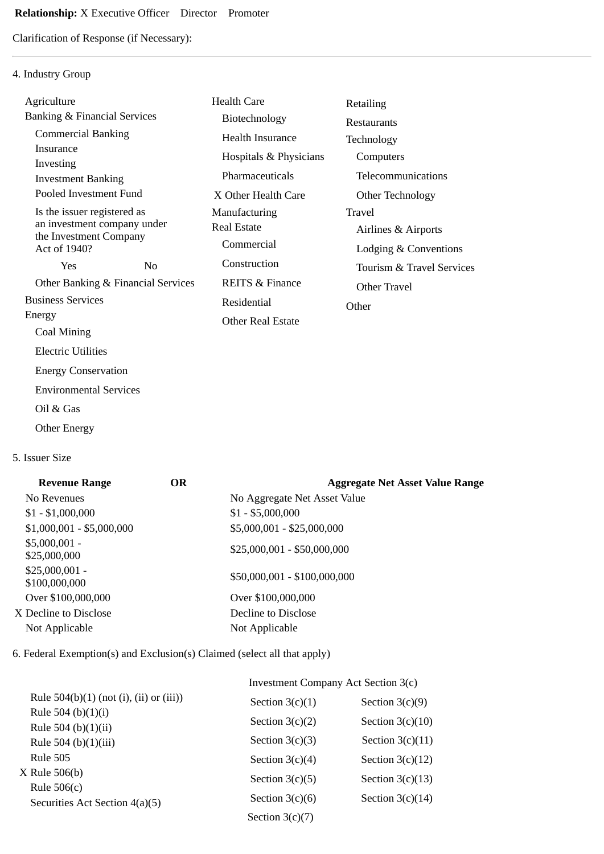Clarification of Response (if Necessary):

## 4. Industry Group

| Agriculture                                           |                | <b>Health Care</b>         | Retailing                 |
|-------------------------------------------------------|----------------|----------------------------|---------------------------|
| <b>Banking &amp; Financial Services</b>               |                | Biotechnology              | Restaurants               |
| <b>Commercial Banking</b>                             |                | <b>Health Insurance</b>    | Technology                |
| Insurance                                             |                | Hospitals & Physicians     | Computers                 |
| Investing<br><b>Investment Banking</b>                |                | Pharmaceuticals            | Telecommunications        |
| Pooled Investment Fund                                |                | X Other Health Care        | Other Technology          |
| Is the issuer registered as                           |                | Manufacturing              | Travel                    |
| an investment company under<br>the Investment Company |                | <b>Real Estate</b>         | Airlines & Airports       |
| Act of 1940?                                          |                | Commercial                 | Lodging & Conventions     |
| Yes                                                   | N <sub>0</sub> | Construction               | Tourism & Travel Services |
| Other Banking & Financial Services                    |                | <b>REITS &amp; Finance</b> | Other Travel              |
| <b>Business Services</b>                              |                | Residential                | Other                     |
| Energy                                                |                | <b>Other Real Estate</b>   |                           |
| Coal Mining                                           |                |                            |                           |
| <b>Electric Utilities</b>                             |                |                            |                           |
| <b>Energy Conservation</b>                            |                |                            |                           |
| <b>Environmental Services</b>                         |                |                            |                           |
|                                                       |                |                            |                           |

- Oil & Gas
- Other Energy

## 5. Issuer Size

| <b>Revenue Range</b>             | <b>OR</b> | <b>Aggregate Net Asset Value Range</b> |
|----------------------------------|-----------|----------------------------------------|
| No Revenues                      |           | No Aggregate Net Asset Value           |
| $$1 - $1,000,000$                |           | $$1 - $5,000,000$                      |
| $$1,000,001 - $5,000,000$        |           | \$5,000,001 - \$25,000,000             |
| $$5,000,001 -$<br>\$25,000,000   |           | $$25,000,001 - $50,000,000$            |
| $$25,000,001 -$<br>\$100,000,000 |           | \$50,000,001 - \$100,000,000           |
| Over \$100,000,000               |           | Over \$100,000,000                     |
| X Decline to Disclose            |           | Decline to Disclose                    |
| Not Applicable                   |           | Not Applicable                         |
|                                  |           |                                        |

6. Federal Exemption(s) and Exclusion(s) Claimed (select all that apply)

|                                              | Investment Company Act Section 3(c) |                    |  |
|----------------------------------------------|-------------------------------------|--------------------|--|
| Rule $504(b)(1)$ (not (i), (ii) or (iii))    | Section $3(c)(1)$                   | Section $3(c)(9)$  |  |
| Rule 504 (b) $(1)(i)$<br>Rule 504 (b)(1)(ii) | Section $3(c)(2)$                   | Section $3(c)(10)$ |  |
| Rule 504 (b)(1)(iii)                         | Section $3(c)(3)$                   | Section $3(c)(11)$ |  |
| <b>Rule 505</b>                              | Section $3(c)(4)$                   | Section $3(c)(12)$ |  |
| $X$ Rule 506(b)<br>Rule $506(c)$             | Section $3(c)(5)$                   | Section $3(c)(13)$ |  |
| Securities Act Section 4(a)(5)               | Section $3(c)(6)$                   | Section $3(c)(14)$ |  |
|                                              | Section $3(c)(7)$                   |                    |  |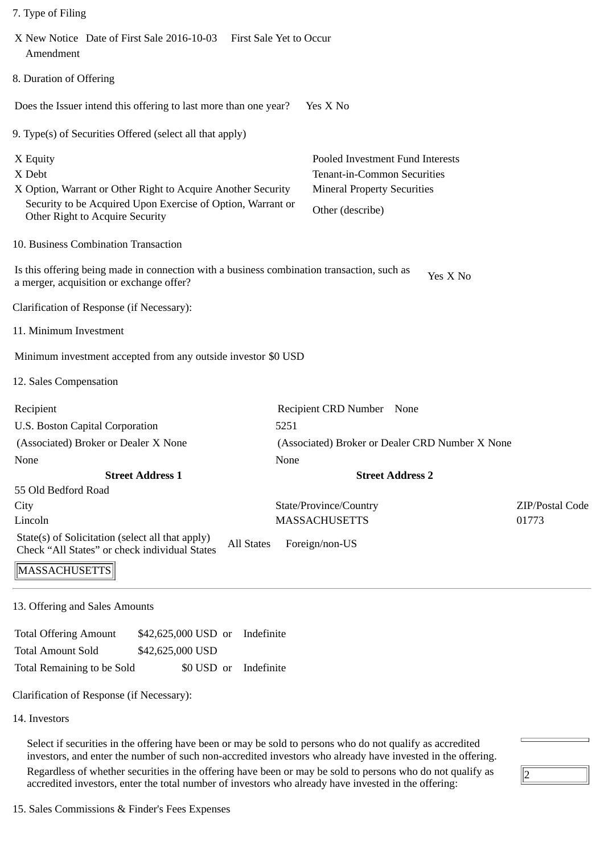|  | 7. Type of Filing |  |
|--|-------------------|--|

| X New Notice Date of First Sale 2016-10-03 First Sale Yet to Occur<br>Amendment                                                                                                      |                                                                                                                           |                 |
|--------------------------------------------------------------------------------------------------------------------------------------------------------------------------------------|---------------------------------------------------------------------------------------------------------------------------|-----------------|
| 8. Duration of Offering                                                                                                                                                              |                                                                                                                           |                 |
| Does the Issuer intend this offering to last more than one year?                                                                                                                     | Yes X No                                                                                                                  |                 |
| 9. Type(s) of Securities Offered (select all that apply)                                                                                                                             |                                                                                                                           |                 |
| X Equity<br>X Debt<br>X Option, Warrant or Other Right to Acquire Another Security<br>Security to be Acquired Upon Exercise of Option, Warrant or<br>Other Right to Acquire Security | Pooled Investment Fund Interests<br>Tenant-in-Common Securities<br><b>Mineral Property Securities</b><br>Other (describe) |                 |
| 10. Business Combination Transaction                                                                                                                                                 |                                                                                                                           |                 |
| Is this offering being made in connection with a business combination transaction, such as<br>a merger, acquisition or exchange offer?                                               | Yes X No                                                                                                                  |                 |
| Clarification of Response (if Necessary):                                                                                                                                            |                                                                                                                           |                 |
| 11. Minimum Investment                                                                                                                                                               |                                                                                                                           |                 |
| Minimum investment accepted from any outside investor \$0 USD                                                                                                                        |                                                                                                                           |                 |
| 12. Sales Compensation                                                                                                                                                               |                                                                                                                           |                 |
| Recipient                                                                                                                                                                            | Recipient CRD Number None                                                                                                 |                 |
| U.S. Boston Capital Corporation                                                                                                                                                      | 5251                                                                                                                      |                 |
| (Associated) Broker or Dealer X None                                                                                                                                                 | (Associated) Broker or Dealer CRD Number X None                                                                           |                 |
| None                                                                                                                                                                                 | None                                                                                                                      |                 |
| <b>Street Address 1</b>                                                                                                                                                              | <b>Street Address 2</b>                                                                                                   |                 |
| 55 Old Bedford Road                                                                                                                                                                  |                                                                                                                           |                 |
| City                                                                                                                                                                                 | State/Province/Country                                                                                                    | ZIP/Postal Code |
| Lincoln                                                                                                                                                                              | <b>MASSACHUSETTS</b>                                                                                                      | 01773           |
| State(s) of Solicitation (select all that apply)<br><b>All States</b><br>Check "All States" or check individual States                                                               | Foreign/non-US                                                                                                            |                 |
| MASSACHUSETTS                                                                                                                                                                        |                                                                                                                           |                 |
| 13. Offering and Sales Amounts                                                                                                                                                       |                                                                                                                           |                 |
| <b>Total Offering Amount</b><br>\$42,625,000 USD or<br>Indefinite                                                                                                                    |                                                                                                                           |                 |

Total Amount Sold \$42,625,000 USD Total Remaining to be Sold \$0 USD or Indefinite

Clarification of Response (if Necessary):

14. Investors

Select if securities in the offering have been or may be sold to persons who do not qualify as accredited investors, and enter the number of such non-accredited investors who already have invested in the offering. Regardless of whether securities in the offering have been or may be sold to persons who do not qualify as accredited investors, enter the total number of investors who already have invested in the offering:

 $\sqrt{2}$